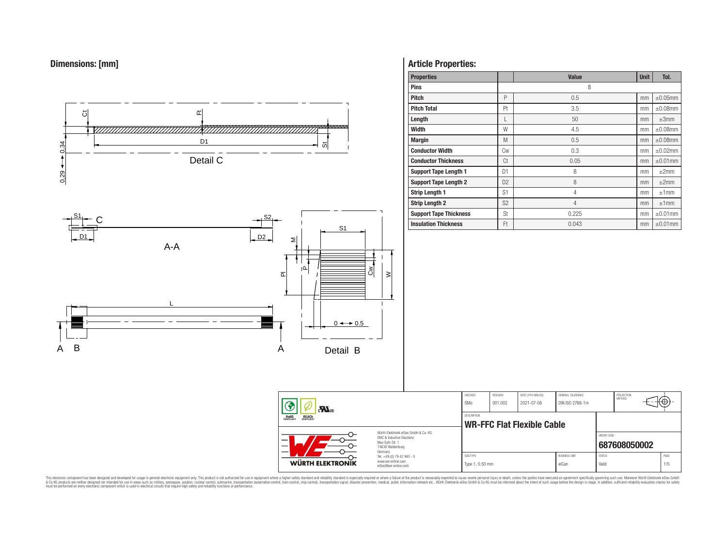



# **Article Properties:**

| <b>Properties</b>             |                | <b>Value</b> | <b>Unit</b> | Tol.          |
|-------------------------------|----------------|--------------|-------------|---------------|
| <b>Pins</b>                   |                | 8            |             |               |
| <b>Pitch</b>                  | P              | 0.5          | mm          | $\pm 0.05$ mm |
| <b>Pitch Total</b>            | Pt             | 3.5          | mm          | $\pm 0.08$ mm |
| Length                        | L              | 50           | mm          | $\pm 3$ mm    |
| Width                         | W              | 4.5          | mm          | $\pm 0.08$ mm |
| <b>Margin</b>                 | M              | 0.5          | mm          | $\pm 0.08$ mm |
| <b>Conductor Width</b>        | Сw             | 0.3          | mm          | $\pm 0.02$ mm |
| <b>Conductor Thickness</b>    | Ct             | 0.05         | mm          | $\pm 0.01$ mm |
| <b>Support Tape Length 1</b>  | D1             | 8            | mm          | $\pm 2$ mm    |
| <b>Support Tape Length 2</b>  | D <sub>2</sub> | 8            | mm          | ±2mm          |
| <b>Strip Length 1</b>         | S <sub>1</sub> | 4            | mm          | ±1mm          |
| <b>Strip Length 2</b>         | S <sub>2</sub> | 4            | mm          | ±1mm          |
| <b>Support Tape Thickness</b> | <b>St</b>      | 0.225        | mm          | $\pm 0.01$ mm |
| <b>Insulation Thickness</b>   | Ft             | 0.043        | mm          | $\pm 0.01$ mm |

| $\mathbf{r}$                                                                                                       |                                                                                   | CHECKED<br>GMo               | REVISION<br>001.002 | DATE (YYYY-MM-DD)<br>2021-07-08 | GENERAL TOLERANCE<br>DIN ISO 2768-1m |                        | PROJECTION<br><b>METHOD</b> | πΨ          |
|--------------------------------------------------------------------------------------------------------------------|-----------------------------------------------------------------------------------|------------------------------|---------------------|---------------------------------|--------------------------------------|------------------------|-----------------------------|-------------|
| <b>ROHS</b><br>COMPLIANT<br><b>REACH</b><br>COMPLIANT                                                              |                                                                                   |                              |                     | WR-FFC Flat Flexible Cable      |                                      |                        |                             |             |
| Würth Elektronik eiSos GmbH & Co. KG<br>EMC & Inductive Solutions<br>-<br>Max-Eyth-Str. 1<br>—<br>74638 Waldenburg |                                                                                   |                              |                     |                                 |                                      | ORDER CODE             | 687608050002                |             |
| _<br><b>WÜRTH ELEKTRONIK</b>                                                                                       | Germany<br>Tel. +49 (0) 79 42 945 - 0<br>www.we-online.com<br>eiSos@we-online.com | SIZE/TYPE<br>Type 1, 0.50 mm |                     |                                 | <b>BUSINESS UNIT</b><br>eiCan        | <b>STATUS</b><br>Valid |                             | PAGE<br>1/5 |

This electronic component has been designed and developed for usage in general electronic equipment only. This product is not authorized for subserved requipment where a higher selection equipment where a higher selection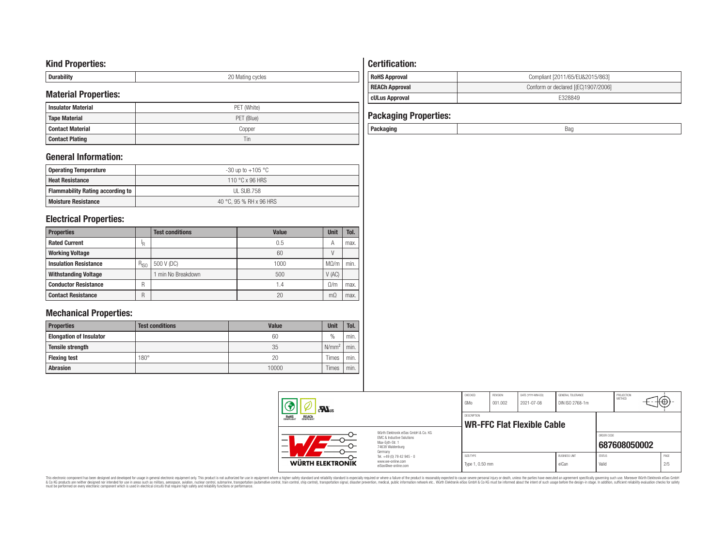## **Kind Properties:**

| <b>Duruping</b> | ററ<br>20 Mating cycles |
|-----------------|------------------------|

# **Material Properties:**

| IVIALEITAI PTODEITIES. |             | <b>cULus Approval</b>        | E328849 |
|------------------------|-------------|------------------------------|---------|
| l Insulator Material   | PET (White) |                              |         |
| Tape Material          | PET (Blue)  | <b>Packaging Properties:</b> |         |
| l Contact Material     | Copper      | Packaging                    | Bag     |
| <b>Contact Plating</b> | 1 in        |                              |         |

## **General Information:**

| Operating Temperature                   | -30 up to +105 $^{\circ}$ C |
|-----------------------------------------|-----------------------------|
| <b>Heat Resistance</b>                  | 110 °C x 96 HRS             |
| <b>Flammability Rating according to</b> | UL SUB.758                  |
| <b>Moisture Resistance</b>              | 40 °C, 95 % RH x 96 HRS     |

## **Electrical Properties:**

| <b>Properties</b>            |           | <b>Test conditions</b> | Value | <b>Unit</b> | Tol. |
|------------------------------|-----------|------------------------|-------|-------------|------|
| <b>Rated Current</b>         | ΙR        |                        | 0.5   | А           | max. |
| <b>Working Voltage</b>       |           |                        | 60    |             |      |
| <b>Insulation Resistance</b> | $R_{ISO}$ | 500 V (DC)             | 1000  | $M\Omega/m$ | min. |
| <b>Withstanding Voltage</b>  |           | min No Breakdown       | 500   | V(AC)       |      |
| <b>Conductor Resistance</b>  | R         |                        | ، ۱   | $\Omega/m$  | max. |
| <b>Contact Resistance</b>    | R         |                        | 20    | mΩ          | max. |

# **Mechanical Properties:**

| <b>Properties</b>              | <b>Test conditions</b> | <b>Value</b> | <b>Unit</b>       | Tol. |
|--------------------------------|------------------------|--------------|-------------------|------|
| <b>Elongation of Insulator</b> |                        | 60           | $\frac{0}{0}$     | min. |
| <b>Tensile strength</b>        |                        | 35           | N/mm <sup>2</sup> | min. |
| <b>Flexing test</b>            | $180^\circ$            | 20           | Times             | min. |
| <b>Abrasion</b>                |                        | 10000        | Times             | min. |

# **Certification: RoHS Approval RoHS Approval Compliant** [2011/65/EU&2015/863] **REACh Approval REACh Approval Conform or declared [(EC)1907/2006]**

# **Packaging Properties:**<br>Packaging

| Packaging |  |
|-----------|--|
|           |  |

| $\mathbf{M}$ <sub>us</sub>                                                                               |                                                                                   | CHECKED<br>GMo               | REVISION<br>001.002 | DATE (YYYY-MM-DD)<br>2021-07-08 | GENERAL TOLERANCE<br>DIN ISO 2768-1m |                        | PROJECTION<br>METHOD |             |
|----------------------------------------------------------------------------------------------------------|-----------------------------------------------------------------------------------|------------------------------|---------------------|---------------------------------|--------------------------------------|------------------------|----------------------|-------------|
| ROHS<br>COMPLIANT<br><b>REACH</b><br>COMPLIANT                                                           |                                                                                   | DESCRIPTION                  |                     | WR-FFC Flat Flexible Cable      |                                      |                        |                      |             |
| Würth Elektronik eiSos GmbH & Co. KG<br>EMC & Inductive Solutions<br>Max-Evth-Str. 1<br>74638 Waldenburg |                                                                                   |                              |                     |                                 |                                      | ORDER CODE             | 687608050002         |             |
| WÜRTH ELEKTRONIK                                                                                         | Germany<br>Tel. +49 (0) 79 42 945 - 0<br>www.we-online.com<br>eiSos@we-online.com | SIZE/TYPE<br>Type 1, 0.50 mm |                     |                                 | <b>BUSINESS UNIT</b><br>eiCan        | <b>STATUS</b><br>Valid |                      | PAGE<br>2/5 |

This electronic component has been designed and developed for usage in general electronic equipment only. This product is not authorized for subserved requipment where a higher selection equipment where a higher selection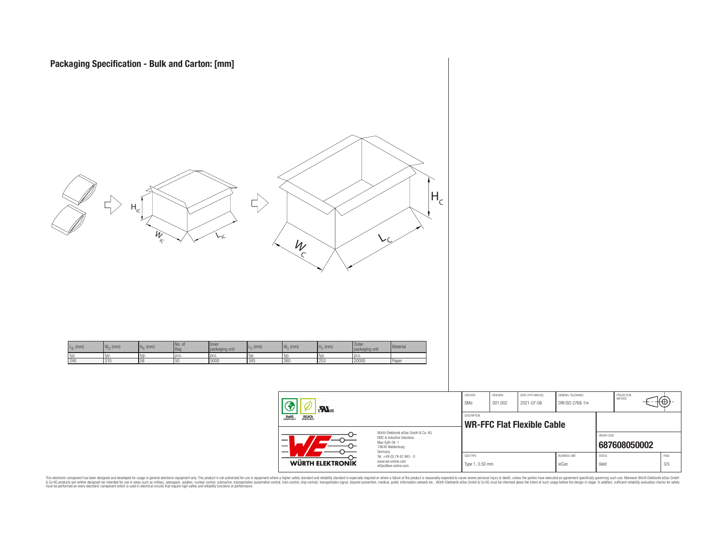

 $\equiv$ 

| <b>WÜRTH ELEKTRONIK</b>                    | Tel. +49 (0) 79 42 945 - 0<br>www.we-online.com<br>eiSos@we-online.com | Type 1, 0.50 mm    |                     |                                   | eiCan                                | Valid        |                             | 3/5  |
|--------------------------------------------|------------------------------------------------------------------------|--------------------|---------------------|-----------------------------------|--------------------------------------|--------------|-----------------------------|------|
|                                            | SIZE/TYPE                                                              |                    |                     | <b>BUSINESS UNIT</b>              | ORDER CODE<br><b>STATUS</b>          | 687608050002 | PAGE                        |      |
| OHS<br>Pliant<br><b>REACH</b><br>COMPLIANT | Würth Elektronik eiSos GmbH & Co. KG                                   | <b>DESCRIPTION</b> |                     | <b>WR-FFC Flat Flexible Cable</b> |                                      |              |                             |      |
| Ð<br>$\sum_{s}$                            |                                                                        | CHECKED<br>GMo     | REVISION<br>001.002 | DATE (YYYY-MM-DD)<br>2021-07-08   | GENERAL TOLERANCE<br>DIN ISO 2768-1m |              | PROJECTION<br><b>METHOD</b> | π⊕+− |

This electronic component has been designed and developed for usage in general electronic equipment only. This product is not authorized for subserved requipment where a higher selection equipment where a higher selection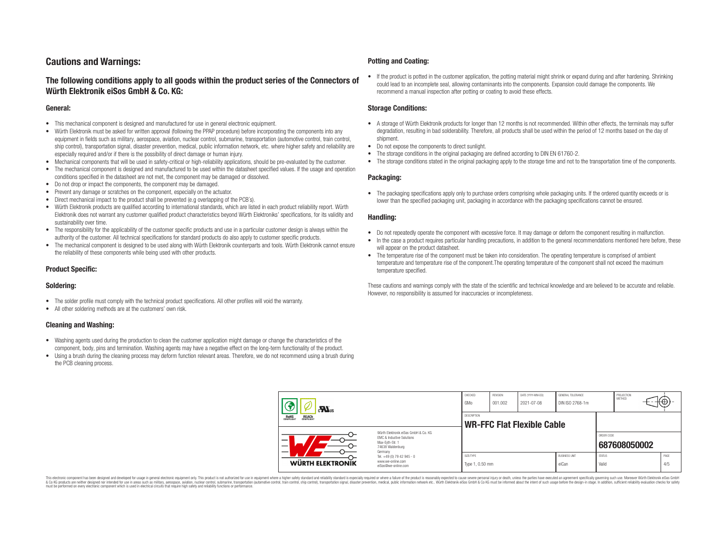## **Cautions and Warnings:**

## **The following conditions apply to all goods within the product series of the Connectors of Würth Elektronik eiSos GmbH & Co. KG:**

#### **General:**

- This mechanical component is designed and manufactured for use in general electronic equipment.
- Würth Elektronik must be asked for written approval (following the PPAP procedure) before incorporating the components into any equipment in fields such as military, aerospace, aviation, nuclear control, submarine, transportation (automotive control, train control, ship control), transportation signal, disaster prevention, medical, public information network, etc. where higher safety and reliability are especially required and/or if there is the possibility of direct damage or human injury.
- Mechanical components that will be used in safety-critical or high-reliability applications, should be pre-evaluated by the customer.
- The mechanical component is designed and manufactured to be used within the datasheet specified values. If the usage and operation conditions specified in the datasheet are not met, the component may be damaged or dissolved.
- Do not drop or impact the components, the component may be damaged.
- Prevent any damage or scratches on the component, especially on the actuator.
- Direct mechanical impact to the product shall be prevented (e.g overlapping of the PCB's).
- Würth Elektronik products are qualified according to international standards, which are listed in each product reliability report. Würth Elektronik does not warrant any customer qualified product characteristics beyond Würth Elektroniks' specifications, for its validity and sustainability over time.
- The responsibility for the applicability of the customer specific products and use in a particular customer design is always within the authority of the customer. All technical specifications for standard products do also apply to customer specific products.
- The mechanical component is designed to be used along with Würth Elektronik counterparts and tools. Würth Elektronik cannot ensure the reliability of these components while being used with other products.

#### **Product Specific:**

#### **Soldering:**

- The solder profile must comply with the technical product specifications. All other profiles will void the warranty.
- All other soldering methods are at the customers' own risk.

#### **Cleaning and Washing:**

- Washing agents used during the production to clean the customer application might damage or change the characteristics of the component, body, pins and termination. Washing agents may have a negative effect on the long-term functionality of the product.
- Using a brush during the cleaning process may deform function relevant areas. Therefore, we do not recommend using a brush during the PCB cleaning process.

#### **Potting and Coating:**

• If the product is potted in the customer application, the potting material might shrink or expand during and after hardening. Shrinking could lead to an incomplete seal, allowing contaminants into the components. Expansion could damage the components. We recommend a manual inspection after potting or coating to avoid these effects.

#### **Storage Conditions:**

- A storage of Würth Elektronik products for longer than 12 months is not recommended. Within other effects, the terminals may suffer degradation, resulting in bad solderability. Therefore, all products shall be used within the period of 12 months based on the day of shipment.
- Do not expose the components to direct sunlight.
- The storage conditions in the original packaging are defined according to DIN EN 61760-2.
- The storage conditions stated in the original packaging apply to the storage time and not to the transportation time of the components.

#### **Packaging:**

• The packaging specifications apply only to purchase orders comprising whole packaging units. If the ordered quantity exceeds or is lower than the specified packaging unit, packaging in accordance with the packaging specifications cannot be ensured.

#### **Handling:**

- Do not repeatedly operate the component with excessive force. It may damage or deform the component resulting in malfunction.
- In the case a product requires particular handling precautions, in addition to the general recommendations mentioned here before, these will appear on the product datasheet
- The temperature rise of the component must be taken into consideration. The operating temperature is comprised of ambient temperature and temperature rise of the component.The operating temperature of the component shall not exceed the maximum temperature specified.

These cautions and warnings comply with the state of the scientific and technical knowledge and are believed to be accurate and reliable. However, no responsibility is assumed for inaccuracies or incompleteness.

| $\mathbf{M}_{\text{us}}$                                                                                                                                               |                                                                                   | CHECKED<br>GMo               | REVISION<br>DATE (YYYY-MM-DD)<br>GENERAL TOLERANCE<br>DIN ISO 2768-1m<br>001.002<br>2021-07-08 |                                   |                               |                        | PROJECTION<br>METHOD | ι₩          |
|------------------------------------------------------------------------------------------------------------------------------------------------------------------------|-----------------------------------------------------------------------------------|------------------------------|------------------------------------------------------------------------------------------------|-----------------------------------|-------------------------------|------------------------|----------------------|-------------|
| <b>ROHS</b><br>COMPLIANT<br><b>REACH</b><br>COMPLIANT<br>Würth Elektronik eiSos GmbH & Co. KG<br>EMC & Inductive Solutions<br>–<br>Max-Eyth-Str. 1<br>74638 Waldenburg |                                                                                   | <b>DESCRIPTION</b>           |                                                                                                | <b>WR-FFC Flat Flexible Cable</b> |                               |                        |                      |             |
|                                                                                                                                                                        |                                                                                   |                              |                                                                                                |                                   |                               | ORDER CODE             | 687608050002         |             |
| WÜRTH ELEKTRONIK                                                                                                                                                       | Germany<br>Tel. +49 (0) 79 42 945 - 0<br>www.we-online.com<br>eiSos@we-online.com | SIZE/TYPE<br>Type 1, 0.50 mm |                                                                                                |                                   | <b>BUSINESS UNIT</b><br>eiCan | <b>STATUS</b><br>Valid |                      | PAGE<br>4/5 |

This electronic component has been designed and developed for usage in general electronic equipment only. This product is not authorized for use in equipment where a higher safety standard and reliability standard si espec & Ook product a label and the membed of the seasuch as marked and as which such a membed and the such assume that income in the seasuch and the simulation and the such assume that include to the such a membed and the such